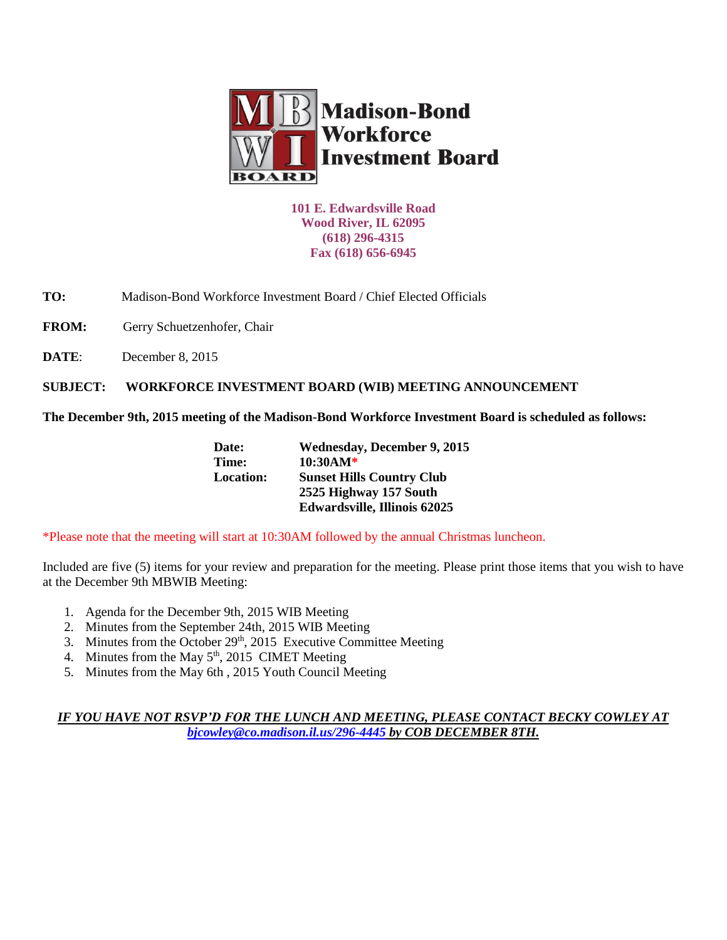

**101 E. Edwardsville Road Wood River, IL 62095 (618) 296-4315 Fax (618) 656-6945**

**TO:** Madison-Bond Workforce Investment Board / Chief Elected Officials

FROM: Gerry Schuetzenhofer, Chair

**DATE**: December 8, 2015

**SUBJECT: WORKFORCE INVESTMENT BOARD (WIB) MEETING ANNOUNCEMENT** 

**The December 9th, 2015 meeting of the Madison-Bond Workforce Investment Board is scheduled as follows:**

| Date:            | <b>Wednesday, December 9, 2015</b>  |  |
|------------------|-------------------------------------|--|
| Time:            | $10:30AM*$                          |  |
| <b>Location:</b> | <b>Sunset Hills Country Club</b>    |  |
|                  | 2525 Highway 157 South              |  |
|                  | <b>Edwardsville, Illinois 62025</b> |  |

\*Please note that the meeting will start at 10:30AM followed by the annual Christmas luncheon.

Included are five (5) items for your review and preparation for the meeting. Please print those items that you wish to have at the December 9th MBWIB Meeting:

- 1. Agenda for the December 9th, 2015 WIB Meeting
- 2. Minutes from the September 24th, 2015 WIB Meeting
- 3. Minutes from the October 29<sup>th</sup>, 2015 Executive Committee Meeting
- 4. Minutes from the May  $5<sup>th</sup>$ , 2015 CIMET Meeting
- 5. Minutes from the May 6th , 2015 Youth Council Meeting

## *IF YOU HAVE NOT RSVP'D FOR THE LUNCH AND MEETING, PLEASE CONTACT BECKY COWLEY AT [bjcowley@co.madison.il.us/](mailto:bjcowley@co.madison.il.us)296-4445 by COB DECEMBER 8TH.*